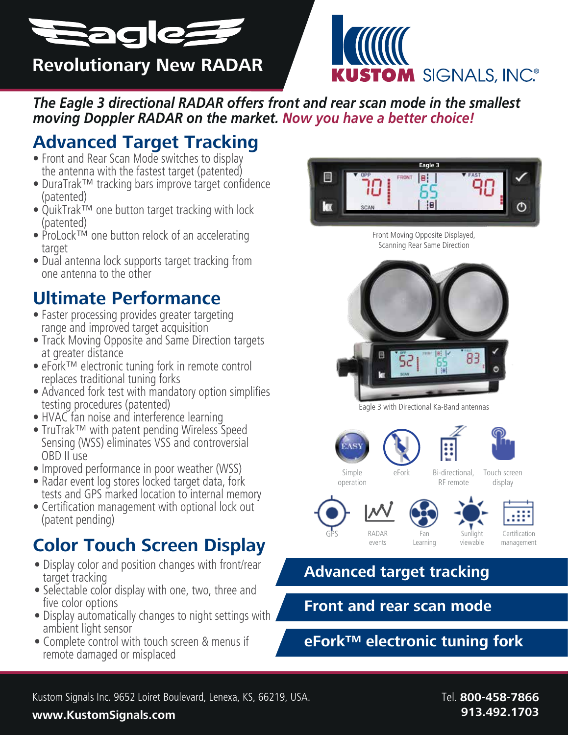



*The Eagle 3 directional RADAR offers front and rear scan mode in the smallest moving Doppler RADAR on the market. Now you have a better choice!* 

## **Advanced Target Tracking**

- Front and Rear Scan Mode switches to display the antenna with the fastest target (patented)
- DuraTrak™ tracking bars improve target confidence (patented)
- QuikTrak™ one button target tracking with lock (patented)
- ProLock™ one button relock of an accelerating target
- Dual antenna lock supports target tracking from one antenna to the other

## **Ultimate Performance**

- Faster processing provides greater targeting range and improved target acquisition
- Track Moving Opposite and Same Direction targets at greater distance
- eFork™ electronic tuning fork in remote control replaces traditional tuning forks
- Advanced fork test with mandatory option simplifies testing procedures (patented)
- HVAC fan noise and interference learning
- TruTrak™ with patent pending Wireless Speed Sensing (WSS) eliminates VSS and controversial OBD II use
- Improved performance in poor weather (WSS)
- Radar event log stores locked target data, fork tests and GPS marked location to internal memory
- Certification management with optional lock out (patent pending)

# **Color Touch Screen Display**

- Display color and position changes with front/rear target tracking
- Selectable color display with one, two, three and five color options
- Display automatically changes to night settings with ambient light sensor
- Complete control with touch screen & menus if remote damaged or misplaced



Front Moving Opposite Displayed, Scanning Rear Same Direction



Eagle 3 with Directional Ka-Band antennas









Simple eFork operation

Bi-directional, RF remote

Touch screen display









viewable

Certification management

### **Advanced target tracking**

**Front and rear scan mode**

**eFork™ electronic tuning fork**

#### **www.KustomSignals.com 913.492.1703**